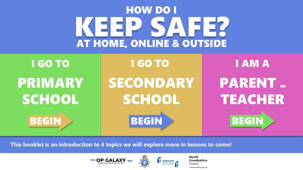# KEEP SYNTER HOW DO I AT HOME, ONLINE & OUTSIDE

<span id="page-0-0"></span>

**This booklet is an introduction to 4 topics we will explore more in lessons to come!** 



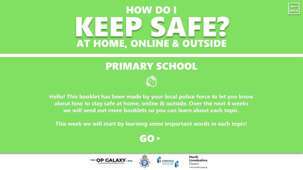# <span id="page-1-0"></span>EEP SAFE? HOW DO I AT HOME, ONLINE & OUTSIDE

#### PRIMARY SCHOOL



**Hello! This booklet has been made by your local police force to let you know about how to stay safe at home, online & outside. Over the next 4 weeks we will send out more booklets so you can learn about each topic.**

**This week we will start by learning some important words in each topic!**

#### [GO](#page-2-0)▸





**North** Lincolnshire Council www.northlincs.gov.uk

 $\begin{array}{|c|c|}\n\hline\n\text{Back}\n\end{array}$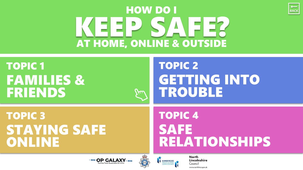# KEEP SAFER HOW DO I AT HOME, ONLINE & OUTSIDE

<span id="page-2-0"></span>

### TOPIC 2 [GETTING INTO](#page-4-0) TROUBLE

 $\overline{BACK}$ 

TOPIC 3 [STAYING SAFE](#page-5-0) ONLINE

### TOPIC 4 SAFE [RELATIONSHIPS](#page-6-0)



 $\mu$ 

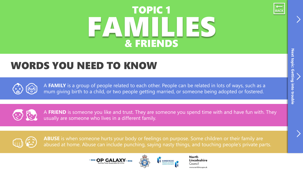# FAMILIES TOPIC 1 & FRIENDS



#### <span id="page-3-0"></span>WORDS YOU NEED TO KNOW



<sup>A</sup> **FAMILY** is a group of people related to each other. People can be related in lots of ways, such as a mum giving birth to a child, or two people getting married, or someone being adopted or fostered.



A FRIEND is someone you like and trust. They are someone you spend time with and have fun with. They usually are someone who lives in a different family.



ABUSE is when someone hurts your body or feelings on purpose. Some children or their family are abused at home. Abuse can include punching, saying nasty things, and touching people's private parts.



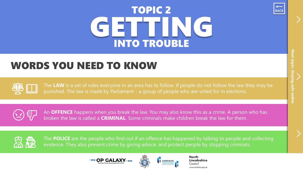# GETTING TOPIC 2 BACK INTO TROUBLE



#### <span id="page-4-0"></span>WORDS YOU NEED TO KNOW

The LAW is a set of rules everyone in an area has to follow. If people do not follow the law they may be punished. The law is made by Parliament - a group of people who are voted for in elections.

An **OFFENCE** happens when you break the law. You may also know this as a crime. A person who has broken the law is called a **CRIMINAL**. Some criminals make children break the law for them.



The **POLICE** are the people who find out if an offence has happened by talking to people and collecting evidence. They also prevent crime by giving advice, and protect people by stopping criminals.



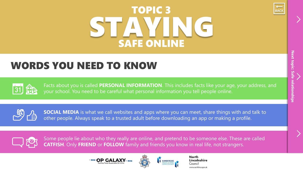# STAYING TOPIC 3 SAFE ONLINE



### <span id="page-5-0"></span>WORDS YOU NEED TO KNOW



Facts about you is called **PERSONAL INFORMATION**. This includes facts like your age, your address, and your school. You need to be careful what personal information you tell people online.



**SOCIAL MEDIA** is what we call websites and apps where you can meet, share things with and talk to other people. Always speak to a trusted adult before downloading an app or making a profile.



Some people lie about who they really are online, and pretend to be someone else. These are called **CATFISH**. Only **FRIEND** or **FOLLOW** family and friends you know in real life, not strangers.



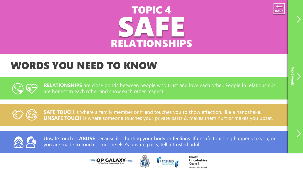# SAFE TOPIC 4 RELATIONSHIPS



#### <span id="page-6-0"></span>WORDS YOU NEED TO KNOW



**RELATIONSHIPS** are close bonds between people who trust and love each other. People in relationships are honest to each other and show each other respect.



**SAFE TOUCH** is where a family member or friend touches you to show affection, like a handshake.<br> **UNSAFE TOUCH** is where someone touches your private parts & makes them hurt or makes you upset.



Unsafe touch is **ABUSE** because it is hurting your body or feelings. If unsafe touching happens to you, or you, or you, or you, or you, or you, or you are made to touch someone else's private parts, tell a trusted ad



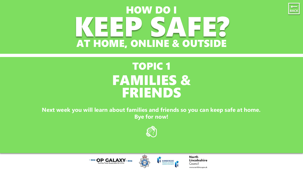## <span id="page-7-0"></span>EEP SAFE? HOW DO I AT HOME, ONLINE & OUTSIDE

### TOPIC 1 FAMILIES & FRIENDS

**Next week you will learn about families and friends so you can keep safe at home. Bye for now!** 







**North** Lincolnshire Council www.northlincs.gov.uk

**BACK**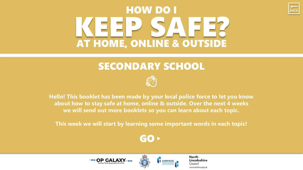## <span id="page-8-0"></span>KEEP SAAREER HOW DO I AT HOME, ONLINE & OUTSIDE

#### SECONDARY SCHOOL



**Hello! This booklet has been made by your local police force to let you know about how to stay safe at home, online & outside. Over the next 4 weeks we will send out more booklets so you can learn about each topic.**

**This week we will start by learning some important words in each topic!**

#### [GO](#page-9-0)▸





**North** Lincolnshire Council www.northlincs.gov.uk

 $\begin{array}{|c|c|}\n\hline\n\text{BACK}\n\end{array}$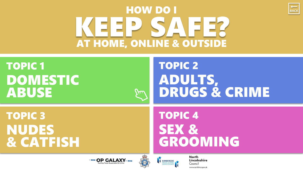# EEP SAFE? HOW DO I AT HOME, ONLINE & OUTSIDE

Jul

<span id="page-9-0"></span>TOPIC 1 [DOMESTIC](#page-10-0) ABUSE

### TOPIC 2 ADULTS, [DRUGS & CRIME](#page-11-0)

**BACK** 

TOPIC 3 NUDES [& CATFISH](#page-12-0)

TOPIC 4 SEX & [GROOMING](#page-13-0)



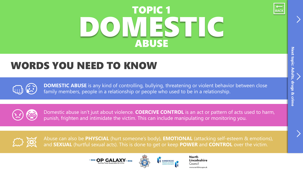# DOMIESTIC TOPIC 1 ABUSE



#### <span id="page-10-0"></span>WORDS YOU NEED TO KNOW

**DOMESTIC ABUSE** is any kind of controlling, bullying, threatening or violent behavior between close family members, people in a relationship or people who used to be in a relationship.



Domestic abuse isn't just about violence. **COERCIVE CONTROL** is an act or pattern of acts used to harm, punish, frighten and intimidate the victim. This can include manipulating or monitoring you.



Abuse can also be PHYSCIAL (hurt someone's body), **EMOTIONAL** (attacking self-esteem & emotions), and **SEXUAL** (hurtful sexual acts). This is done to get or keep **POWER** and **CONTROL** over the victim.



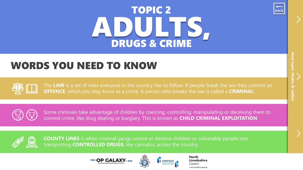# ADULTS, TOPIC 2 DRUGS & CRIME



#### <span id="page-11-0"></span>WORDS YOU NEED TO KNOW

The LAW is a set of rules everyone in the country has to follow. If people break the law they commit an **OFFENCE**, which you may know as a crime. A person who breaks the law is called a **CRIMINAL**.



Some criminals take advantage of children by coercing, controlling, manipulating or deceiving them to commit crime, like drug dealing or burglary. This is known as **CHILD CRIMINAL EXPLOITATION**.



**COUNTY LINES** is when criminal gangs coerce or deceive children or vulnerable people into transporting **CONTROLLED DRUGS**, like cannabis, across the country.



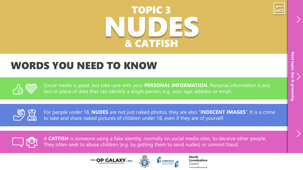# NUDES TOPIC 3 STRAIGHTEN TO PICE STRAIGHTEN TO PICE STRAIGHTEN TO PICE STRAIGHTEN TO THE USE OF THE USE OF THE USE O & CATFISH



#### <span id="page-12-0"></span>WORDS YOU NEED TO KNOW



Social media is great, but take care with your **PERSONAL INFORMATION**. Personal information is any fact or piece of data that can identify a single person, e.g. your age, address or email.



For For people under 18, **NUDES** are not just naked photos, they are also "**INDECENT IMAGES**". It is a crime **the same of the set in to take and share naked pictures of children under 18, even if they are of yourself.** 



A **CATFISH** is someone using a fake identity, normally on social media sites, to deceive other people.<br>They often seek to abuse children (e.g. by getting them to send nudes) or commit fraud.



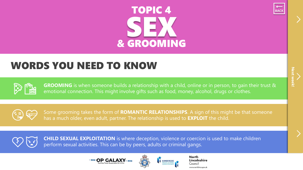# SEX TOPIC 4 & GROOMING



#### <span id="page-13-0"></span>WORDS YOU NEED TO KNOW



**GROOMING** is when someone builds a relationship with a child, online or in person, to gain their trust & emotional connection. This might involve gifts such as food, money, alcohol, drugs or clothes.



Some grooming takes the form of **ROMANTIC RELATIONSHIPS**. <sup>A</sup> sign of this might be that someone has a much older, even adult, partner. The relationship is used to **EXPLOIT** the child.



**CHILD SEXUAL EXPLOITATION** is where deception, violence or coercion is used to make children perform sexual activities. This can be by peers, adults or criminal gangs.



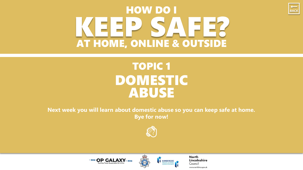<span id="page-14-0"></span>

### TOPIC 1 DOMESTIC **ABUSE**

**Next week you will learn about domestic abuse so you can keep safe at home. Bye for now!** 







**North** Lincolnshire Council www.northlincs.gov.uk

 $\begin{array}{|c|c|}\n\hline\n\text{BACK}\n\end{array}$